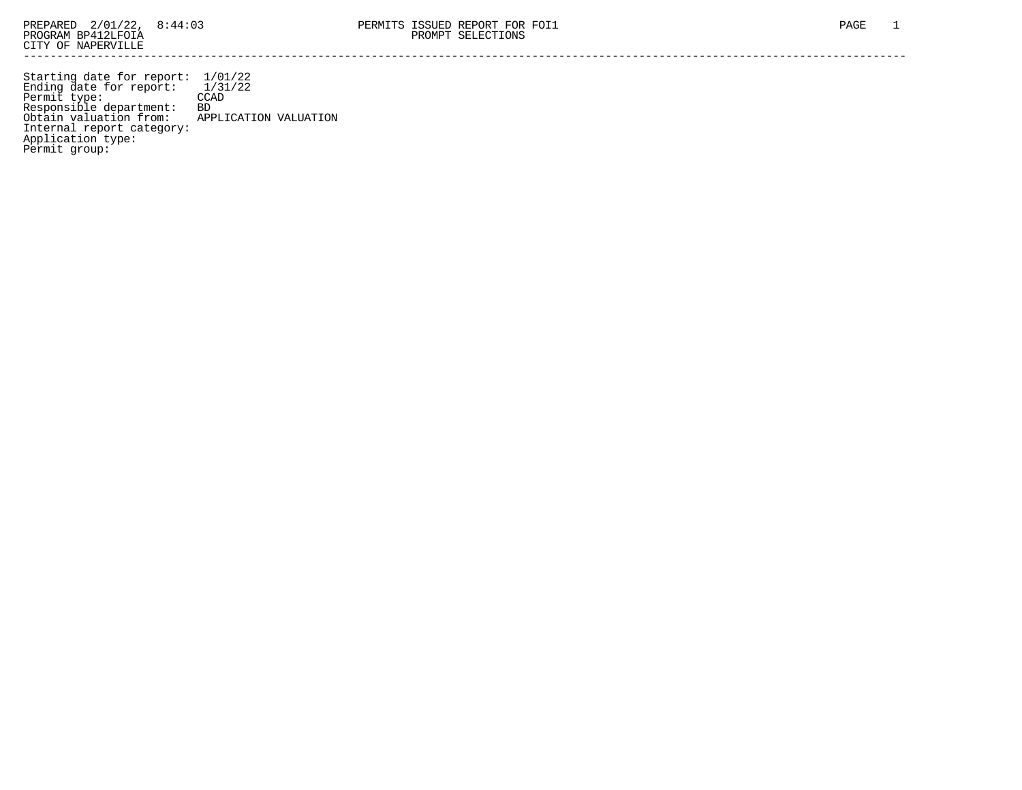Starting date for report: 1/01/22 Ending date for report: 1/31/22 Permit type: CCAD Responsible department: BD Obtain valuation from: APPLICATION VALUATION Internal report category: Application type: Permit group: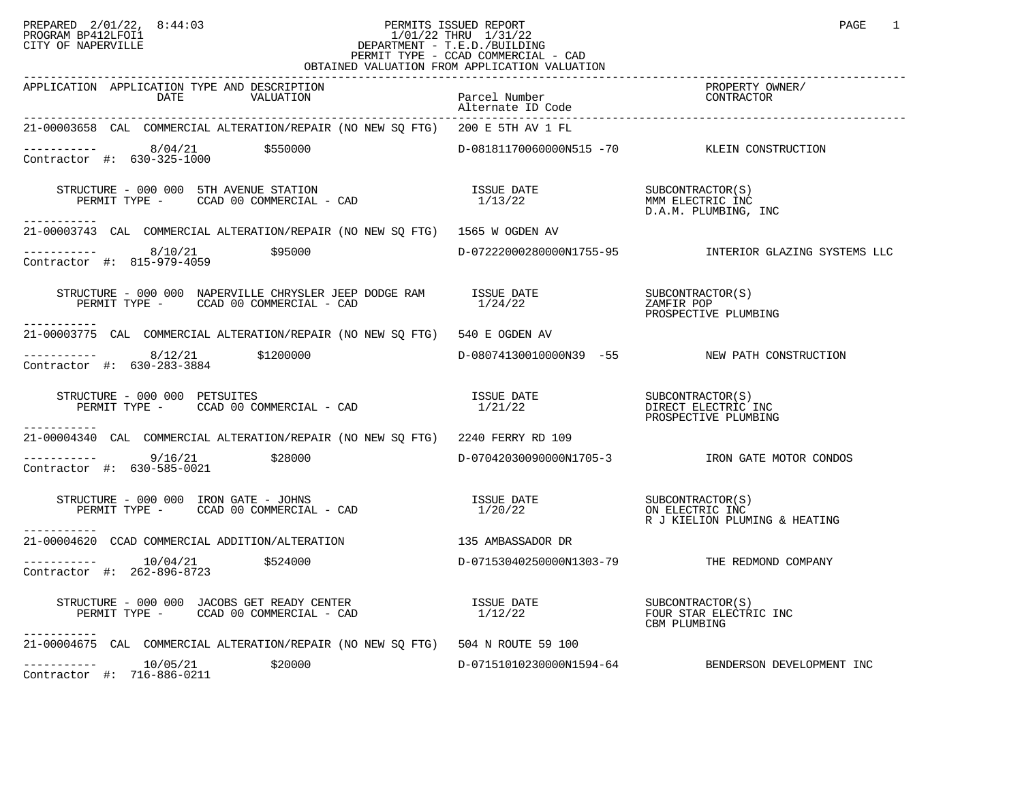### PREPARED 2/01/22, 8:44:03 PERMITS ISSUED REPORT PROGRAM BP412LFOI1 PAGE 1 PROGRAM BP412LFOI1 1/01/22 THRU 1/31/22 CITY OF NAPERVILLE **Example 20** CITY OF NAPERVILLE PERMIT TYPE - CCAD COMMERCIAL - CAD OBTAINED VALUATION FROM APPLICATION VALUATION

| APPLICATION APPLICATION TYPE AND DESCRIPTION<br>DATE<br>VALUATION                                                                                                                                                                                                                                                                                     | Parcel Number<br>Alternate ID Code | PROPERTY OWNER/<br>CONTRACTO                                        |
|-------------------------------------------------------------------------------------------------------------------------------------------------------------------------------------------------------------------------------------------------------------------------------------------------------------------------------------------------------|------------------------------------|---------------------------------------------------------------------|
| 21-00003658 CAL COMMERCIAL ALTERATION/REPAIR (NO NEW SQ FTG) 200 E 5TH AV 1 FL                                                                                                                                                                                                                                                                        |                                    |                                                                     |
| $---------$ 8/04/21 \$550000<br>Contractor #: 630-325-1000                                                                                                                                                                                                                                                                                            |                                    | D-08181170060000N515 -70 KLEIN CONSTRUCTION                         |
| -----------                                                                                                                                                                                                                                                                                                                                           |                                    | D.A.M. PLUMBING, INC                                                |
| 21-00003743 CAL COMMERCIAL ALTERATION/REPAIR (NO NEW SO FTG) 1565 W OGDEN AV                                                                                                                                                                                                                                                                          |                                    |                                                                     |
| $\begin{array}{cccc}\n - & - & - & - & - - \\  \text{Contractor} & + & 8/10/21 & \end{array}$ \$95000                                                                                                                                                                                                                                                 |                                    | D-07222000280000N1755-95               INTERIOR GLAZING SYSTEMS LLC |
| STRUCTURE - 000 000 NAPERVILLE CHRYSLER JEEP DODGE RAM ISSUE DATE<br>PERMIT TYPE - CCAD 00 COMMERCIAL - CAD<br>-----------                                                                                                                                                                                                                            | 1/24/22                            | SUBCONTRACTOR(S)<br>ZAMFIR POP<br>PROSPECTIVE PLUMBING              |
| 21-00003775 CAL COMMERCIAL ALTERATION/REPAIR (NO NEW SO FTG) 540 E OGDEN AV                                                                                                                                                                                                                                                                           |                                    |                                                                     |
| -----------                  8/12/21               \$1200000<br>Contractor #: 630-283-3884                                                                                                                                                                                                                                                            |                                    | D-08074130010000N39 -55 NEW PATH CONSTRUCTION                       |
| STRUCTURE - 000 000 PETSUITES                                                                                                                                                                                                                                                                                                                         |                                    | PROSPECTIVE PLUMBING                                                |
| ------------<br>21-00004340 CAL COMMERCIAL ALTERATION/REPAIR (NO NEW SQ FTG) 2240 FERRY RD 109                                                                                                                                                                                                                                                        |                                    |                                                                     |
| $---------$ 9/16/21 \$28000<br>Contractor #: 630-585-0021                                                                                                                                                                                                                                                                                             |                                    |                                                                     |
| STRUCTURE - 000 000 IRON GATE - JOHNS<br>$\frac{1}{2}$ - $\frac{1}{2}$ - $\frac{1}{2}$ - $\frac{1}{2}$ - $\frac{1}{2}$ - $\frac{1}{2}$ - $\frac{1}{2}$ - $\frac{1}{2}$ - $\frac{1}{2}$ - $\frac{1}{2}$ - $\frac{1}{2}$ - $\frac{1}{2}$ - $\frac{1}{2}$ - $\frac{1}{2}$ - $\frac{1}{2}$ - $\$<br>PERMIT TYPE - CCAD 00 COMMERCIAL - CAD<br>----------- |                                    |                                                                     |
| 21-00004620  CCAD COMMERCIAL ADDITION/ALTERATION                                                                                                                                                                                                                                                                                                      | 135 AMBASSADOR DR                  |                                                                     |
| $------ 10/04/21$ \$524000<br>Contractor #: 262-896-8723                                                                                                                                                                                                                                                                                              |                                    | D-07153040250000N1303-79 THE REDMOND COMPANY                        |
| STRUCTURE - 000 000 JACOBS GET READY CENTER<br>PERMIT TYPE - CCAD 00 COMMERCIAL - CAD<br>-----------                                                                                                                                                                                                                                                  | ISSUE DATE<br>1/12/22              | SUBCONTRACTOR(S)<br>FOUR STAR ELECTRIC INC<br>CBM PLUMBING          |
| 21-00004675 CAL COMMERCIAL ALTERATION/REPAIR (NO NEW SO FTG) 504 N ROUTE 59 100                                                                                                                                                                                                                                                                       |                                    |                                                                     |
| \$20000<br>Contractor #: $716 - 886 - 0211$                                                                                                                                                                                                                                                                                                           |                                    | D-07151010230000N1594-64 BENDERSON DEVELOPMENT INC                  |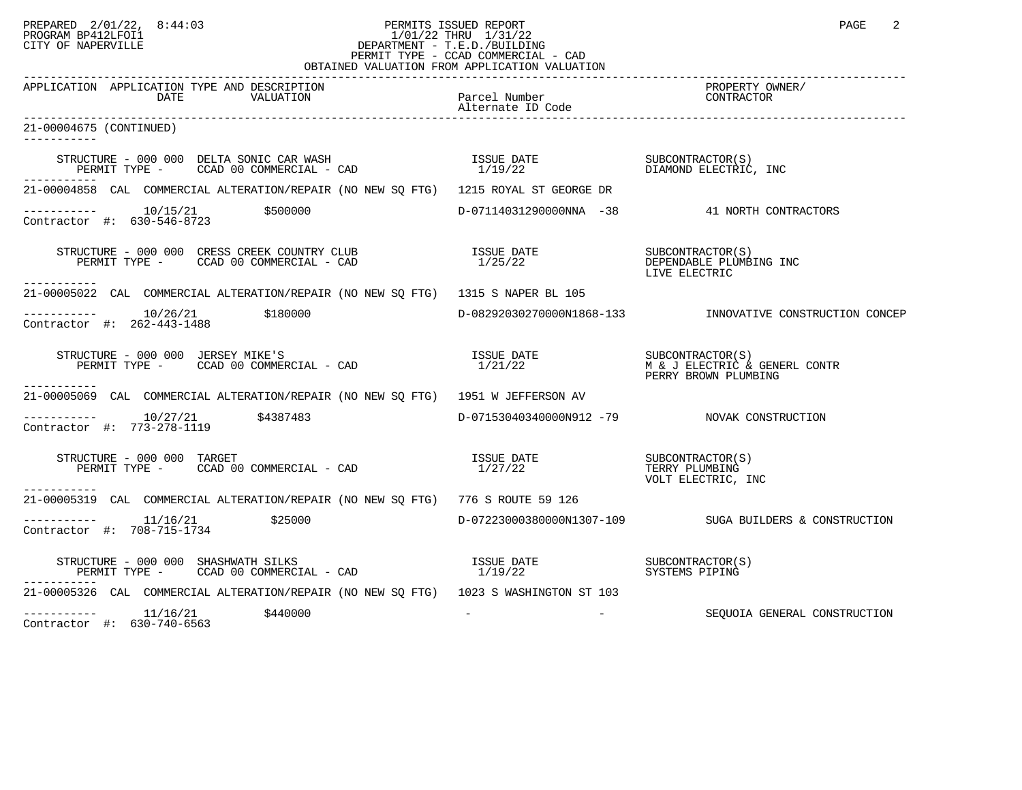#### PREPARED 2/01/22, 8:44:03 PERMITS ISSUED REPORT<br>PROGRAM BP412LFOI1 PAGE 2 PROGRAM BP412LFOI1 1/01/22 THRU 1/31/22 CITY OF NAPERVILLE **Example 20** CITY OF NAPERVILLE PERMIT TYPE - CCAD COMMERCIAL - CAD OBTAINED VALUATION FROM APPLICATION VALUATION

| APPLICATION APPLICATION TYPE AND DESCRIPTION                                                                                                                                                                                                                                                                                                                                     | Parcel Number<br>Alternate ID Code | PROPERTY OWNER/                                                     |
|----------------------------------------------------------------------------------------------------------------------------------------------------------------------------------------------------------------------------------------------------------------------------------------------------------------------------------------------------------------------------------|------------------------------------|---------------------------------------------------------------------|
| 21-00004675 (CONTINUED)<br>------------                                                                                                                                                                                                                                                                                                                                          |                                    |                                                                     |
| $\begin{array}{cccccc} \texttt{STRUCTURE} & - & 000 & 000 & \texttt{DELTA SONIC CAR WASH} & & & & & & & \texttt{ISSUE DATE} & & & & & & \texttt{SUBCONTRACTOR(S)}\\ \texttt{PERMIT TYPE} & - & & \texttt{CCAD} & 00 & \texttt{COMMERCIAL} & - & \texttt{CAD} & & & & & 1/19/22 & & & & & \texttt{DIAMOND ELECTRIC, INC} \end{array}$                                             |                                    |                                                                     |
| 21-00004858 CAL COMMERCIAL ALTERATION/REPAIR (NO NEW SQ FTG) 1215 ROYAL ST GEORGE DR                                                                                                                                                                                                                                                                                             |                                    |                                                                     |
| $\begin{tabular}{ll} \texttt{--------} & 10/15/21 & \texttt{\$500000} \\ \texttt{Contractor} & \texttt{\#}: & 630-546-8723 \\ \end{tabular}$                                                                                                                                                                                                                                     |                                    | D-07114031290000NNA -38 41 NORTH CONTRACTORS                        |
| STRUCTURE – 000 000 CRESS CREEK COUNTRY CLUB $\begin{array}{ccc}\n & \text{ISSUE} \text{ DATE} \\  \text{PERMIT TYPE} - \text{CCAD} \text{ 00 COMMERCIAL} - \text{CAD} & \text{1/25/22}\n \end{array}$<br>-----------                                                                                                                                                            |                                    | LIVE ELECTRIC                                                       |
| 21-00005022 CAL COMMERCIAL ALTERATION/REPAIR (NO NEW SO FTG) 1315 S NAPER BL 105                                                                                                                                                                                                                                                                                                 |                                    |                                                                     |
| Contractor #: 262-443-1488                                                                                                                                                                                                                                                                                                                                                       |                                    | D-08292030270000N1868-133  INNOVATIVE CONSTRUCTION CONCEP           |
|                                                                                                                                                                                                                                                                                                                                                                                  |                                    |                                                                     |
| -----------<br>21-00005069 CAL COMMERCIAL ALTERATION/REPAIR (NO NEW SO FTG) 1951 W JEFFERSON AV                                                                                                                                                                                                                                                                                  |                                    |                                                                     |
| $--------- 10/27/21$ \$4387483<br>Contractor #: 773-278-1119                                                                                                                                                                                                                                                                                                                     |                                    | D-07153040340000N912 -79 NOVAK CONSTRUCTION                         |
| $\begin{array}{cccccc} \texttt{STRUCTURE} & - & 000 & 000 & \texttt{TARGE} \\ \texttt{PERMIT TYPE} & - & \texttt{CCAD} & 00 & \texttt{COMMERCIAL} & - & \texttt{CAD} & & & & & \\ \end{array} \qquad \begin{array}{cccccc} \texttt{ISSUE} & \texttt{DATE} & & & & & \texttt{SUBCONTRACTOR(S)} \\ \texttt{1/27/22} & & & & & \texttt{TERRY PLUMBING} \end{array}$<br>------------ |                                    | VOLT ELECTRIC, INC                                                  |
| 21-00005319 CAL COMMERCIAL ALTERATION/REPAIR (NO NEW SO FTG) 776 S ROUTE 59 126                                                                                                                                                                                                                                                                                                  |                                    |                                                                     |
| $--------- 11/16/21$<br>\$25000<br>Contractor #: 708-715-1734                                                                                                                                                                                                                                                                                                                    |                                    | D-07223000380000N1307-109 SUGA BUILDERS & CONSTRUCTION              |
| $\begin{array}{cccc} \texttt{STRUCTURE} & - & 000 & 000 & \texttt{SHASHWATH SILKS} \\ \texttt{PERMIT TYPE} & - & \texttt{CCAD} & 00 & \texttt{COMMERCIAL} & - & \texttt{CAD} \\ \end{array} \hspace{1cm} \begin{array}{cccc} \texttt{ISSUE} & \texttt{DATE} & \texttt{SUE CONTRACTOR(S)} \\ 1/19/22 & & & & & \\ \end{array}$                                                    |                                    |                                                                     |
| 21-00005326 CAL COMMERCIAL ALTERATION/REPAIR (NO NEW SQ FTG) 1023 S WASHINGTON ST 103                                                                                                                                                                                                                                                                                            |                                    |                                                                     |
| $---------$ 11/16/21 \$440000<br>Contractor #: 630-740-6563                                                                                                                                                                                                                                                                                                                      |                                    | the contract of the contract of the<br>SEOUOIA GENERAL CONSTRUCTION |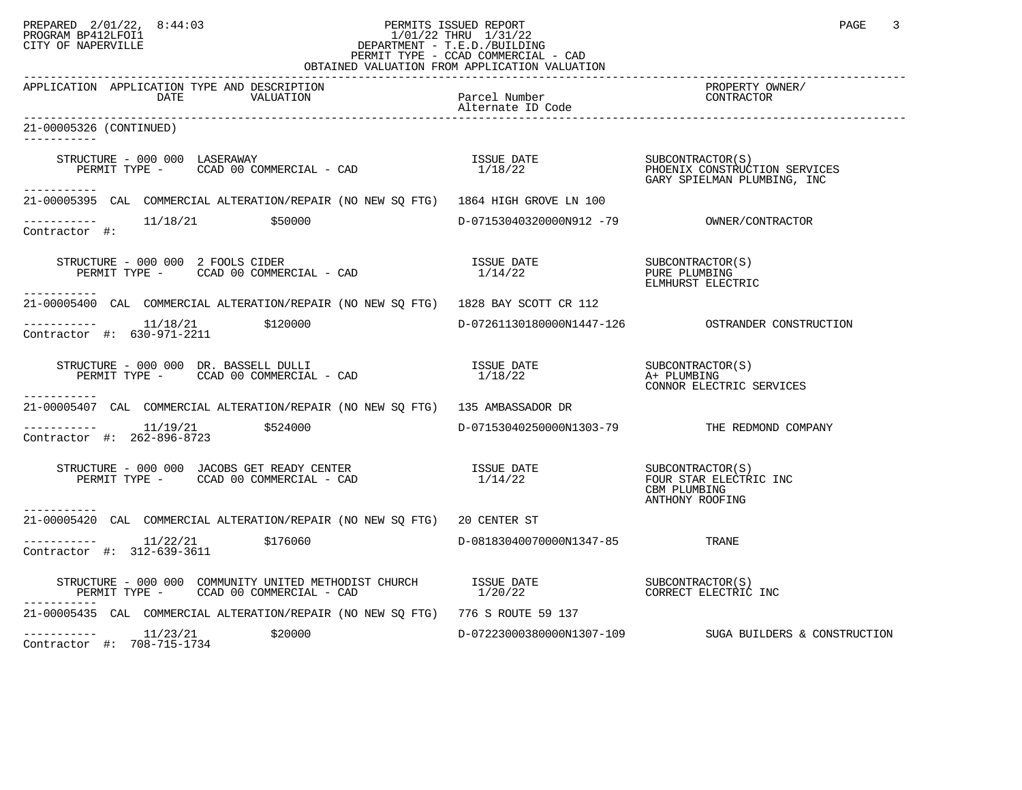# PREPARED 2/01/22, 8:44:03 PERMITS ISSUED REPORT PROGRAM BP412LFOI1 PAGE 3<br>PROGRAM BP412LFOI1 PROGRAM BP412LFOI1 1/01/22 THRU 1/31/22 CITY OF NAPERVILLE **Example 20** CITY OF NAPERVILLE PERMIT TYPE - CCAD COMMERCIAL - CAD

| OBTAINED VALUATION FROM APPLICATION VALUATION                                                                                                                                                                                                                                                                                                                                                                                                                                                        |                                    |                                                         |  |
|------------------------------------------------------------------------------------------------------------------------------------------------------------------------------------------------------------------------------------------------------------------------------------------------------------------------------------------------------------------------------------------------------------------------------------------------------------------------------------------------------|------------------------------------|---------------------------------------------------------|--|
| APPLICATION APPLICATION TYPE AND DESCRIPTION<br>DATE<br>VALUATION                                                                                                                                                                                                                                                                                                                                                                                                                                    | Parcel Number<br>Alternate ID Code | PROPERTY OWNER/<br>CONTRACTOR                           |  |
| 21-00005326 (CONTINUED)<br>---------                                                                                                                                                                                                                                                                                                                                                                                                                                                                 |                                    |                                                         |  |
| $\begin{array}{cccc} \texttt{STRUCTURE} & - & 000 & 000 & \texttt{LASERAWAY} \\ \texttt{PERMIT TYPE} & - & \texttt{CCAD} & 00 & \texttt{COMERCIAL} & - & \texttt{CAD} \\ \texttt{PERMIT TYPE} & - & \texttt{CCAD} & 00 & \texttt{COMERCIAL} & - & \texttt{CAD} \\ \end{array}$                                                                                                                                                                                                                       |                                    |                                                         |  |
| -----------<br>21-00005395 CAL COMMERCIAL ALTERATION/REPAIR (NO NEW SQ FTG) 1864 HIGH GROVE LN 100                                                                                                                                                                                                                                                                                                                                                                                                   |                                    |                                                         |  |
| ----------    11/18/21      \$50000<br>Contractor #:                                                                                                                                                                                                                                                                                                                                                                                                                                                 |                                    |                                                         |  |
| RUCTURE - 000 000 2 FOOLS CIDER<br>PERMIT TYPE - CCAD 00 COMMERCIAL - CAD<br>STRUCTURE - 000 000 2 FOOLS CIDER<br>------------                                                                                                                                                                                                                                                                                                                                                                       | ISSUE DATE<br>1/14/22              | SUBCONTRACTOR (S)<br>PURE PLUMBING<br>ELMHURST ELECTRIC |  |
| 21-00005400 CAL COMMERCIAL ALTERATION/REPAIR (NO NEW SQ FTG) 1828 BAY SCOTT CR 112                                                                                                                                                                                                                                                                                                                                                                                                                   |                                    |                                                         |  |
| $---------$ 11/18/21 \$120000<br>Contractor #: 630-971-2211                                                                                                                                                                                                                                                                                                                                                                                                                                          |                                    | D-07261130180000N1447-126    QOSTRANDER CONSTRUCTION    |  |
| $\begin{array}{cccc}\n \text{STRUCTURE} & - & 000 & 000 & \text{DR. BASSELL DULLI} \\  \text{PERMIT TYPE} & - & \text{CCAD} & 00 & \text{COMMERCIAL} & - & \text{CAD} & \\  \text{PERMIT TYPE} & - & \text{CCAD} & 00 & \text{COMMERCIAL} & - & \text{CAD} & \\  \end{array}$<br>-----------                                                                                                                                                                                                         |                                    | CONNOR ELECTRIC SERVICES                                |  |
| 21-00005407 CAL COMMERCIAL ALTERATION/REPAIR (NO NEW SQ FTG) 135 AMBASSADOR DR                                                                                                                                                                                                                                                                                                                                                                                                                       |                                    |                                                         |  |
| $------$ 11/19/21 \$524000<br>Contractor #: 262-896-8723                                                                                                                                                                                                                                                                                                                                                                                                                                             |                                    | D-07153040250000N1303-79 THE REDMOND COMPANY            |  |
| $\begin{array}{cccccc} \texttt{STRUCTURE} & - & 000 & 000 & \texttt{JACOBS GET READV CENTER} & & & & & & & \\ \texttt{PERMIT TYPE} & - & & & & & & & \\ \texttt{PERMIT TYPE} & - & & & & & & \\ \end{array} \begin{array}{cccccc} \texttt{GIL} & - & \texttt{CAD} & - & \texttt{CAD} & & & \\ & - & \texttt{CAD} & 00 & \texttt{COMMERCIAL} & - & \texttt{CAD} & & & \\ & & & & & & & \\ \end{array} \begin{array}{cccccc} \texttt{ISSUE} & \texttt{DATE} & & & & & \\ \texttt{ISSUE}$<br>---------- |                                    | CBM PLUMBING<br>ANTHONY ROOFING                         |  |
| 21-00005420 CAL COMMERCIAL ALTERATION/REPAIR (NO NEW SO FTG) 20 CENTER ST                                                                                                                                                                                                                                                                                                                                                                                                                            |                                    |                                                         |  |
| $\frac{11}{22/21}$ \$176060<br>Contractor #: 312-639-3611                                                                                                                                                                                                                                                                                                                                                                                                                                            | $D-08183040070000N1347-85$         | TRANE                                                   |  |
| PERMIT TYPE - CCAD 00 COMMERCIAL - CAD                                                                                                                                                                                                                                                                                                                                                                                                                                                               |                                    |                                                         |  |
| 21-00005435 CAL COMMERCIAL ALTERATION/REPAIR (NO NEW SQ FTG) 776 S ROUTE 59 137                                                                                                                                                                                                                                                                                                                                                                                                                      |                                    |                                                         |  |
| $---------$ 11/23/21<br>\$20000<br>Contractor #: 708-715-1734                                                                                                                                                                                                                                                                                                                                                                                                                                        |                                    | D-07223000380000N1307-109 SUGA BUILDERS & CONSTRUCTION  |  |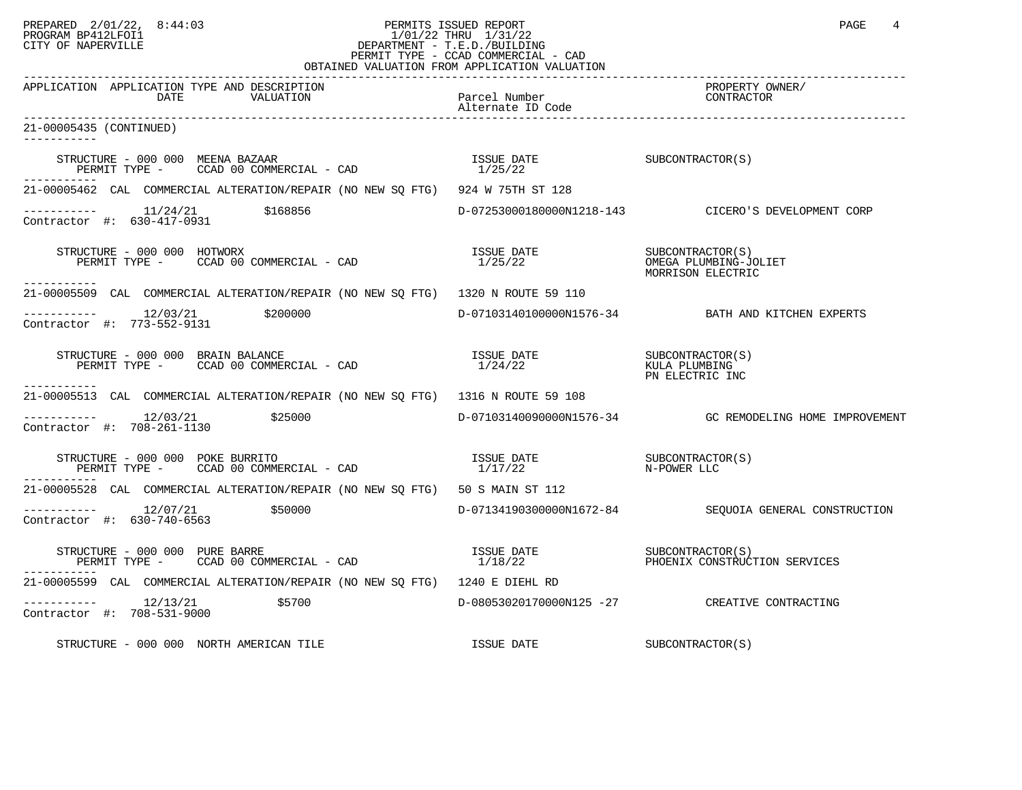# PREPARED 2/01/22, 8:44:03 PERMITS ISSUED REPORT PROGRAM BP412LFOI1 PAGE 4 PROGRAM BP412LFOI1 1/01/22 THRU 1/31/22 CITY OF NAPERVILLE **Example 20** CITY OF NAPERVILLE PERMIT TYPE - CCAD COMMERCIAL - CAD

|                                                                                                                                                                                                                                                                                                                                                                                                     | OBTAINED VALUATION FROM APPLICATION VALUATION |                                                         |
|-----------------------------------------------------------------------------------------------------------------------------------------------------------------------------------------------------------------------------------------------------------------------------------------------------------------------------------------------------------------------------------------------------|-----------------------------------------------|---------------------------------------------------------|
| APPLICATION APPLICATION TYPE AND DESCRIPTION<br>DATE<br>VALUATION                                                                                                                                                                                                                                                                                                                                   | .<br>Parcel Number<br>Alternate ID Code       | PROPERTY OWNER/<br>CONTRACTOR                           |
| 21-00005435 (CONTINUED)                                                                                                                                                                                                                                                                                                                                                                             |                                               |                                                         |
| $\begin{array}{cccc} \texttt{STRUCTURE} - 000~000 & \texttt{MEENA BAZAAR} \\ \texttt{PERMIT TYPE} - & \texttt{CCAD}~00 & \texttt{COMMERCIAL} - \texttt{CAD} \\ \end{array} \qquad \begin{array}{cccc} \texttt{ASUE} & \texttt{DATE} \\ 1/25/22 & \end{array} \qquad \begin{array}{cccc} \texttt{SUBCONTRACTOR(S)} \\ \end{array}$                                                                   |                                               |                                                         |
| 21-00005462 CAL COMMERCIAL ALTERATION/REPAIR (NO NEW SO FTG) 924 W 75TH ST 128                                                                                                                                                                                                                                                                                                                      |                                               |                                                         |
| $\begin{array}{cccc}\n-2 & -2 & -2 & -2 \\ \text{Contractor} & +2 & 630-417-0931 & & 5168856\n\end{array}$                                                                                                                                                                                                                                                                                          |                                               | D-07253000180000N1218-143 CICERO'S DEVELOPMENT CORP     |
| $\begin{tabular}{lllllllllll} \texttt{STRUCTURE} & = & 000 & 000 & \texttt{HOTWORX} & \texttt{ISSUE} & \texttt{DATE} & & \texttt{SUBCONTRACTOR(S)}\\ \texttt{PERMIT TYPE} & = & \texttt{CCAD} & 00 & \texttt{COMMERCIAL} & - & \texttt{CAD} & & & & & & 1/25/22 & & & & & & \texttt{OMEGA} & \texttt{PUMBING-JOLIET} \end{tabular}$<br>------------                                                 |                                               | MORRISON ELECTRIC                                       |
| 21-00005509 CAL COMMERCIAL ALTERATION/REPAIR (NO NEW SQ FTG) 1320 N ROUTE 59 110                                                                                                                                                                                                                                                                                                                    |                                               |                                                         |
| ----------- 12/03/21 \$200000<br>Contractor #: 773-552-9131                                                                                                                                                                                                                                                                                                                                         |                                               | D-07103140100000N1576-34 BATH AND KITCHEN EXPERTS       |
| STRUCTURE - 000 000 BRAIN BALANCE<br>PERMIT TYPE - CCAD 00 COMMERCIAL - CAD                                                                                                                                                                                                                                                                                                                         | ISSUE DATE<br>1/24/22                         | SUBCONTRACTOR(S)<br>KULA PLUMBING<br>PN ELECTRIC INC    |
| 21-00005513 CAL COMMERCIAL ALTERATION/REPAIR (NO NEW SQ FTG) 1316 N ROUTE 59 108                                                                                                                                                                                                                                                                                                                    |                                               |                                                         |
| $-------- 12/03/21$ \$25000<br>Contractor #: 708-261-1130                                                                                                                                                                                                                                                                                                                                           |                                               | D-07103140090000N1576-34 GC REMODELING HOME IMPROVEMENT |
| $\begin{array}{cccc} \texttt{STRUCTURE} & - & 000 & 000 & \texttt{POKE} & \texttt{BURRITO} \\ \texttt{PERMIT TYPE} & - & \texttt{CCAD} & 00 & \texttt{COMMERCIAL} & - & \texttt{CAD} \\ \end{array} \hspace{1cm} \begin{array}{cccc} \texttt{ISSUE} & \texttt{DATE} \\ & 1/17/22 & & \\ \end{array} \hspace{1cm} \begin{array}{cccc} \texttt{SUBCONTRACTOR(S)} \\ \texttt{N-POWER LLC} \end{array}$ |                                               |                                                         |
| 21-00005528 CAL COMMERCIAL ALTERATION/REPAIR (NO NEW SQ FTG) 50 S MAIN ST 112                                                                                                                                                                                                                                                                                                                       |                                               |                                                         |
| $---------$ 12/07/21 \$50000<br>Contractor #: 630-740-6563                                                                                                                                                                                                                                                                                                                                          |                                               | D-07134190300000N1672-84 SEQUOIA GENERAL CONSTRUCTION   |
| STRUCTURE – 000 000 PURE BARRE<br>PERMIT TYPE – CCAD 00 COMMERCIAL – CAD (2000) PERMIT TYPE – CCAD 00 COMMERCIAL – CAD                                                                                                                                                                                                                                                                              |                                               |                                                         |
| 21-00005599 CAL COMMERCIAL ALTERATION/REPAIR (NO NEW SQ FTG) 1240 E DIEHL RD                                                                                                                                                                                                                                                                                                                        |                                               |                                                         |
| $------- 12/13/21$<br>\$5700<br>Contractor #: 708-531-9000                                                                                                                                                                                                                                                                                                                                          |                                               | D-08053020170000N125 -27 CREATIVE CONTRACTING           |
| STRUCTURE - 000 000 NORTH AMERICAN TILE                                                                                                                                                                                                                                                                                                                                                             | ISSUE DATE                                    | SUBCONTRACTOR(S)                                        |